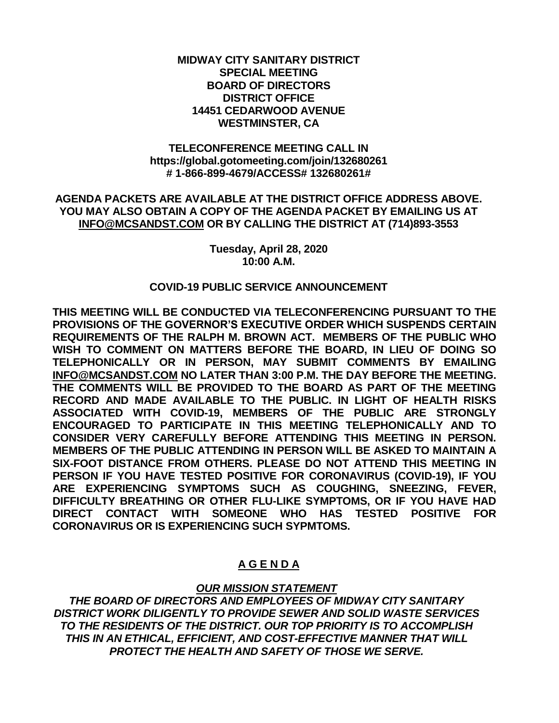### **MIDWAY CITY SANITARY DISTRICT SPECIAL MEETING BOARD OF DIRECTORS DISTRICT OFFICE 14451 CEDARWOOD AVENUE WESTMINSTER, CA**

### **TELECONFERENCE MEETING CALL IN https://global.gotomeeting.com/join/132680261 # 1-866-899-4679/ACCESS# 132680261#**

### **AGENDA PACKETS ARE AVAILABLE AT THE DISTRICT OFFICE ADDRESS ABOVE. YOU MAY ALSO OBTAIN A COPY OF THE AGENDA PACKET BY EMAILING US AT [INFO@MCSANDST.COM](mailto:INFO@MCSANDST.COM) OR BY CALLING THE DISTRICT AT (714)893-3553**

**Tuesday, April 28, 2020 10:00 A.M.**

### **COVID-19 PUBLIC SERVICE ANNOUNCEMENT**

**THIS MEETING WILL BE CONDUCTED VIA TELECONFERENCING PURSUANT TO THE PROVISIONS OF THE GOVERNOR'S EXECUTIVE ORDER WHICH SUSPENDS CERTAIN REQUIREMENTS OF THE RALPH M. BROWN ACT. MEMBERS OF THE PUBLIC WHO WISH TO COMMENT ON MATTERS BEFORE THE BOARD, IN LIEU OF DOING SO TELEPHONICALLY OR IN PERSON, MAY SUBMIT COMMENTS BY EMAILING [INFO@MCSANDST.COM](mailto:INFO@MCSANDST.COM) NO LATER THAN 3:00 P.M. THE DAY BEFORE THE MEETING. THE COMMENTS WILL BE PROVIDED TO THE BOARD AS PART OF THE MEETING RECORD AND MADE AVAILABLE TO THE PUBLIC. IN LIGHT OF HEALTH RISKS ASSOCIATED WITH COVID-19, MEMBERS OF THE PUBLIC ARE STRONGLY ENCOURAGED TO PARTICIPATE IN THIS MEETING TELEPHONICALLY AND TO CONSIDER VERY CAREFULLY BEFORE ATTENDING THIS MEETING IN PERSON. MEMBERS OF THE PUBLIC ATTENDING IN PERSON WILL BE ASKED TO MAINTAIN A SIX-FOOT DISTANCE FROM OTHERS. PLEASE DO NOT ATTEND THIS MEETING IN PERSON IF YOU HAVE TESTED POSITIVE FOR CORONAVIRUS (COVID-19), IF YOU ARE EXPERIENCING SYMPTOMS SUCH AS COUGHING, SNEEZING, FEVER, DIFFICULTY BREATHING OR OTHER FLU-LIKE SYMPTOMS, OR IF YOU HAVE HAD DIRECT CONTACT WITH SOMEONE WHO HAS TESTED POSITIVE FOR CORONAVIRUS OR IS EXPERIENCING SUCH SYPMTOMS.** 

# **A G E N D A**

## *OUR MISSION STATEMENT*

*THE BOARD OF DIRECTORS AND EMPLOYEES OF MIDWAY CITY SANITARY DISTRICT WORK DILIGENTLY TO PROVIDE SEWER AND SOLID WASTE SERVICES TO THE RESIDENTS OF THE DISTRICT. OUR TOP PRIORITY IS TO ACCOMPLISH THIS IN AN ETHICAL, EFFICIENT, AND COST-EFFECTIVE MANNER THAT WILL PROTECT THE HEALTH AND SAFETY OF THOSE WE SERVE.*